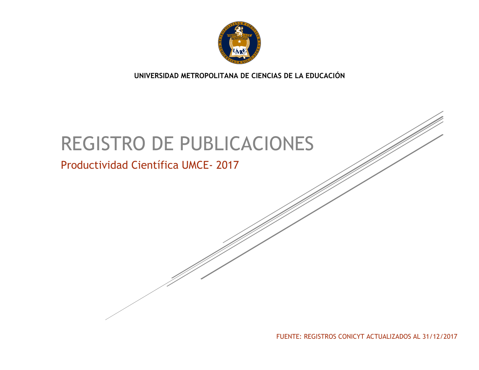

**UNIVERSIDAD METROPOLITANA DE CIENCIAS DE LA EDUCACIÓN**

# REGISTRO DE PUBLICACIONES

## Productividad Científica UMCE- 2017

FUENTE: REGISTROS CONICYT ACTUALIZADOS AL 31/12/2017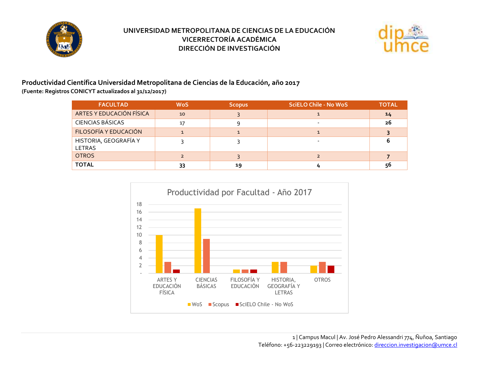



#### **Productividad Científica Universidad Metropolitana de Ciencias de la Educación, año 2017 (Fuente: Registros CONICYT actualizados al 31/12/2017)**

| <b>FACULTAD</b>                        | <b>WoS</b> | <b>Scopus</b> | <b>SciELO Chile - No WoS</b> | <b>TOTAL</b> |
|----------------------------------------|------------|---------------|------------------------------|--------------|
| ARTES Y EDUCACIÓN FÍSICA               | 10         |               |                              | 14           |
| <b>CIENCIAS BÁSICAS</b>                | 17         |               |                              | 26           |
| FILOSOFÍA Y EDUCACIÓN                  |            |               |                              |              |
| HISTORIA, GEOGRAFÍA Y<br><b>LETRAS</b> |            |               |                              |              |
| <b>OTROS</b>                           |            |               |                              |              |
| <b>TOTAL</b>                           | 33         | 19            |                              | 56           |

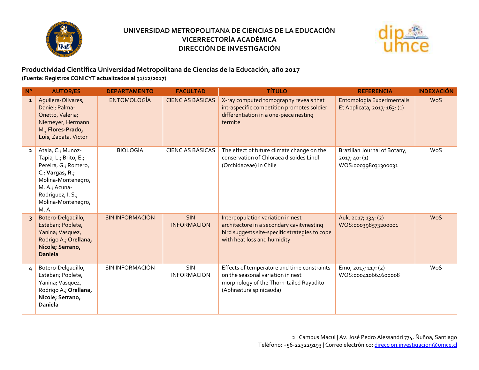



**Productividad Científica Universidad Metropolitana de Ciencias de la Educación, año 2017 (Fuente: Registros CONICYT actualizados al 31/12/2017)**

| $N^{\circ}$    | <b>AUTOR/ES</b>                                                                                                                                                                  | <b>DEPARTAMENTO</b>    | <b>FACULTAD</b>                  | <b>TÍTULO</b>                                                                                                                                                   | <b>REFERENCIA</b>                                                    | <b>INDEXACIÓN</b> |
|----------------|----------------------------------------------------------------------------------------------------------------------------------------------------------------------------------|------------------------|----------------------------------|-----------------------------------------------------------------------------------------------------------------------------------------------------------------|----------------------------------------------------------------------|-------------------|
| $\mathbf{1}$   | Aquilera-Olivares,<br>Daniel; Palma-<br>Onetto, Valeria;<br>Niemeyer, Hermann<br>M., Flores-Prado,<br>Luis, Zapata, Victor                                                       | <b>ENTOMOLOGÍA</b>     | <b>CIENCIAS BÁSICAS</b>          | X-ray computed tomography reveals that<br>intraspecific competition promotes soldier<br>differentiation in a one-piece nesting<br>termite                       | Entomologia Experimentalis<br>Et Applicata, 2017; 163: (1)           | <b>WoS</b>        |
| $\overline{2}$ | Atala, C.; Munoz-<br>Tapia, L.; Brito, E.;<br>Pereira, G.; Romero,<br>C.; Vargas, R.;<br>Molina-Montenegro,<br>M. A.; Acuna-<br>Rodriguez, I. S.;<br>Molina-Montenegro,<br>M. A. | <b>BIOLOGÍA</b>        | <b>CIENCIAS BÁSICAS</b>          | The effect of future climate change on the<br>conservation of Chloraea disoides Lindl.<br>(Orchidaceae) in Chile                                                | Brazilian Journal of Botany,<br>2017; 40: (1)<br>WOS:000398031300031 | WoS               |
| $\overline{3}$ | Botero-Delgadillo,<br>Esteban; Poblete,<br>Yanina; Vasquez,<br>Rodrigo A.; Orellana,<br>Nicole; Serrano,<br><b>Daniela</b>                                                       | <b>SIN INFORMACIÓN</b> | <b>SIN</b><br><b>INFORMACIÓN</b> | Interpopulation variation in nest<br>architecture in a secondary cavitynesting<br>bird suggests site-specific strategies to cope<br>with heat loss and humidity | Auk, 2017; 134: (2)<br>WOS:000398573200001                           | <b>WoS</b>        |
| 4              | Botero-Delgadillo,<br>Esteban; Poblete,<br>Yanina; Vasquez,<br>Rodrigo A.; Orellana,<br>Nicole; Serrano,<br>Daniela                                                              | SIN INFORMACIÓN        | <b>SIN</b><br><b>INFORMACIÓN</b> | Effects of temperature and time constraints<br>on the seasonal variation in nest<br>morphology of the Thorn-tailed Rayadito<br>(Aphrastura spinicauda)          | Emu, 2017; 117: (2)<br>WOS:000410664600008                           | WoS               |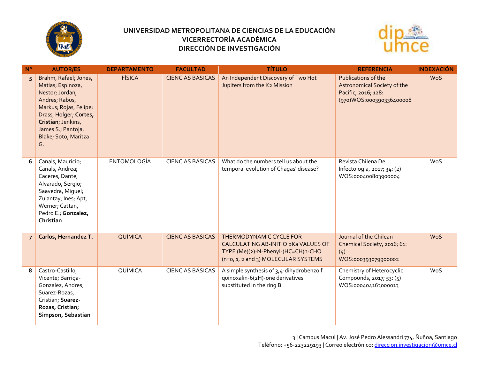



| $N^{\circ}$    | <b>AUTOR/ES</b>                                                                                                                                                                                               | <b>DEPARTAMENTO</b> | <b>FACULTAD</b>         | <b>TÍTULO</b>                                                                                                                               | <b>REFERENCIA</b>                                                                                                            | <b>INDEXACIÓN</b> |
|----------------|---------------------------------------------------------------------------------------------------------------------------------------------------------------------------------------------------------------|---------------------|-------------------------|---------------------------------------------------------------------------------------------------------------------------------------------|------------------------------------------------------------------------------------------------------------------------------|-------------------|
| 5              | Brahm, Rafael; Jones,<br>Matias; Espinoza,<br>Nestor; Jordan,<br>Andres; Rabus,<br>Markus; Rojas, Felipe;<br>Drass, Holger; Cortes,<br>Cristian; Jenkins,<br>James S.; Pantoja,<br>Blake; Soto, Maritza<br>G. | <b>FÍSICA</b>       | <b>CIENCIAS BÁSICAS</b> | An Independent Discovery of Two Hot<br>Jupiters from the K2 Mission                                                                         | Publications of the<br><b>Astronomical Society of the</b><br>Pacific, 2016; 128:<br>80009336400008 (970) WOS:000390336400008 | <b>WoS</b>        |
| 6              | Canals, Mauricio;<br>Canals, Andrea;<br>Caceres, Dante;<br>Alvarado, Sergio;<br>Saavedra, Miguel;<br>Zulantay, Ines; Apt,<br>Werner; Cattan,<br>Pedro E.; Gonzalez,<br>Christian                              | <b>ENTOMOLOGÍA</b>  | <b>CIENCIAS BÁSICAS</b> | What do the numbers tell us about the<br>temporal evolution of Chagas' disease?                                                             | Revista Chilena De<br>Infectologia, 2017; 34: (2)<br>WOS:000400803900004                                                     | WoS               |
| $\overline{7}$ | Carlos, Hernandez T.                                                                                                                                                                                          | QUÍMICA             | <b>CIENCIAS BÁSICAS</b> | THERMODYNAMIC CYCLE FOR<br>CALCULATING AB-INITIO pKa VALUES OF<br>TYPE (Me)(2)-N-Phenyl-(HC=CH)n-CHO<br>(n=0, 1, 2 and 3) MOLECULAR SYSTEMS | Journal of the Chilean<br>Chemical Society, 2016; 61:<br>(4)<br>WOS:000393079900002                                          | <b>WoS</b>        |
| 8              | Castro-Castillo,<br>Vicente; Barriga-<br>Gonzalez, Andres;<br>Suarez-Rozas,<br>Cristian; Suarez-<br>Rozas, Cristian;<br>Simpson, Sebastian                                                                    | QUÍMICA             | <b>CIENCIAS BÁSICAS</b> | A simple synthesis of 3,4-dihydrobenzo f<br>quinoxalin-6(2H)-one derivatives<br>substituted in the ring B                                   | Chemistry of Heterocyclic<br>Compounds, 2017; 53: (5)<br>WOS:000404163000013                                                 | WoS               |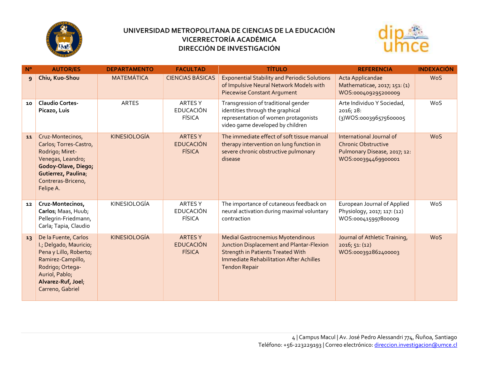



| $N^{\circ}$ | <b>AUTOR/ES</b>                                                                                                                                                               | <b>DEPARTAMENTO</b> | <b>FACULTAD</b>                                     | <b>TÍTULO</b>                                                                                                                                                                                        | <b>REFERENCIA</b>                                                                                             | <b>INDEXACIÓN</b> |
|-------------|-------------------------------------------------------------------------------------------------------------------------------------------------------------------------------|---------------------|-----------------------------------------------------|------------------------------------------------------------------------------------------------------------------------------------------------------------------------------------------------------|---------------------------------------------------------------------------------------------------------------|-------------------|
| 9           | Chiu, Kuo-Shou                                                                                                                                                                | <b>MATEMÁTICA</b>   | <b>CIENCIAS BÁSICAS</b>                             | <b>Exponential Stability and Periodic Solutions</b><br>of Impulsive Neural Network Models with<br><b>Piecewise Constant Argument</b>                                                                 | Acta Applicandae<br>Mathematicae, 2017; 151: (1)<br>WOS:000409295200009                                       | <b>WoS</b>        |
| 10          | <b>Claudio Cortes-</b><br>Picazo, Luis                                                                                                                                        | <b>ARTES</b>        | <b>ARTES Y</b><br><b>EDUCACIÓN</b><br><b>FÍSICA</b> | Transgression of traditional gender<br>identities through the graphical<br>representation of women protagonists<br>video game developed by children                                                  | Arte Individuo Y Sociedad,<br>2016; 28:<br>(3) WOS:000396575600005                                            | WoS               |
| 11          | Cruz-Montecinos,<br>Carlos; Torres-Castro,<br>Rodrigo; Miret-<br>Venegas, Leandro;<br>Godoy-Olave, Diego;<br>Gutierrez, Paulina;<br>Contreras-Briceno,<br>Felipe A.           | <b>KINESIOLOGÍA</b> | <b>ARTES Y</b><br><b>EDUCACIÓN</b><br><b>FÍSICA</b> | The immediate effect of soft tissue manual<br>therapy intervention on lung function in<br>severe chronic obstructive pulmonary<br>disease                                                            | International Journal of<br><b>Chronic Obstructive</b><br>Pulmonary Disease, 2017; 12:<br>WOS:000394469900001 | <b>WoS</b>        |
| 12          | Cruz-Montecinos,<br>Carlos; Maas, Huub;<br>Pellegrin-Friedmann,<br>Carla; Tapia, Claudio                                                                                      | KINESIOLOGÍA        | <b>ARTES Y</b><br><b>EDUCACIÓN</b><br><b>FÍSICA</b> | The importance of cutaneous feedback on<br>neural activation during maximal voluntary<br>contraction                                                                                                 | European Journal of Applied<br>Physiology, 2017; 117: (12)<br>WOS:000415997800009                             | WoS               |
| 13          | De la Fuente, Carlos<br>I.; Delgado, Mauricio;<br>Pena y Lillo, Roberto;<br>Ramirez-Campillo,<br>Rodrigo; Ortega-<br>Auriol, Pablo;<br>Alvarez-Ruf, Joel;<br>Carreno, Gabriel | <b>KINESIOLOGÍA</b> | <b>ARTES Y</b><br><b>EDUCACIÓN</b><br><b>FÍSICA</b> | <b>Medial Gastrocnemius Myotendinous</b><br>Junction Displacement and Plantar-Flexion<br><b>Strength in Patients Treated With</b><br>Immediate Rehabilitation After Achilles<br><b>Tendon Repair</b> | Journal of Athletic Training,<br>2016; 51: (12)<br>WOS:000392862400003                                        | <b>WoS</b>        |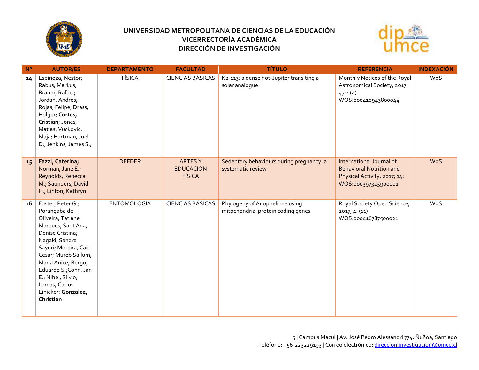



| $N^{\circ}$ | <b>AUTOR/ES</b>                                                                                                                                                                                                                                                                                | <b>DEPARTAMENTO</b> | <b>FACULTAD</b>                                    | <b>TÍTULO</b>                                                        | <b>REFERENCIA</b>                                                                                                  | <b>INDEXACIÓN</b> |
|-------------|------------------------------------------------------------------------------------------------------------------------------------------------------------------------------------------------------------------------------------------------------------------------------------------------|---------------------|----------------------------------------------------|----------------------------------------------------------------------|--------------------------------------------------------------------------------------------------------------------|-------------------|
| 14          | Espinoza, Nestor;<br>Rabus, Markus;<br>Brahm, Rafael;<br>Jordan, Andres;<br>Rojas, Felipe; Drass,<br>Holger; Cortes,<br>Cristian; Jones,<br>Matias; Vuckovic,<br>Maja; Hartman, Joel<br>D.; Jenkins, James S.;                                                                                 | <b>FÍSICA</b>       | <b>CIENCIAS BÁSICAS</b>                            | K2-113: a dense hot-Jupiter transiting a<br>solar analoque           | Monthly Notices of the Royal<br>Astronomical Society, 2017;<br>471: (4)<br>WOS:000410943800044                     | WoS               |
| 15          | Fazzi, Caterina;<br>Norman, Jane E.;<br>Reynolds, Rebecca<br>M.; Saunders, David<br>H.; Linton, Kathryn                                                                                                                                                                                        | <b>DEFDER</b>       | <b>ARTESY</b><br><b>EDUCACIÓN</b><br><b>FÍSICA</b> | Sedentary behaviours during pregnancy: a<br>systematic review        | International Journal of<br><b>Behavioral Nutrition and</b><br>Physical Activity, 2017; 14:<br>WOS:000397325900001 | <b>WoS</b>        |
| 16          | Foster, Peter G.;<br>Porangaba de<br>Oliveira, Tatiane<br>Marques; Sant'Ana,<br>Denise Cristina;<br>Nagaki, Sandra<br>Sayuri; Moreira, Caio<br>Cesar; Mureb Sallum,<br>Maria Anice; Bergo,<br>Eduardo S.; Conn, Jan<br>E.; Nihei, Silvio;<br>Lamas, Carlos<br>Einicker; Gonzalez,<br>Christian | <b>ENTOMOLOGÍA</b>  | <b>CIENCIAS BÁSICAS</b>                            | Phylogeny of Anophelinae using<br>mitochondrial protein coding genes | Royal Society Open Science,<br>2017; 4: (11)<br>WOS:000416787500021                                                | WoS               |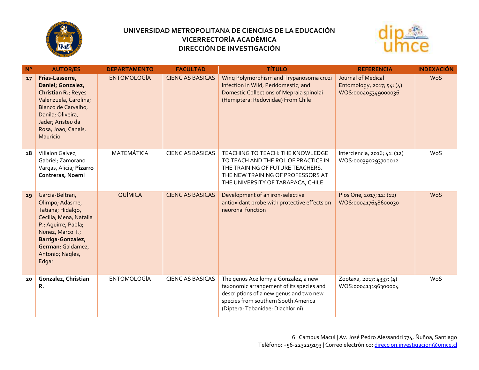



| $N^{\circ}$ | <b>AUTOR/ES</b>                                                                                                                                                                                     | <b>DEPARTAMENTO</b> | <b>FACULTAD</b>         | <b>TÍTULO</b>                                                                                                                                                                                           | <b>REFERENCIA</b>                                                      | <b>INDEXACIÓN</b> |
|-------------|-----------------------------------------------------------------------------------------------------------------------------------------------------------------------------------------------------|---------------------|-------------------------|---------------------------------------------------------------------------------------------------------------------------------------------------------------------------------------------------------|------------------------------------------------------------------------|-------------------|
| 17          | Frias-Lasserre,<br>Daniel; Gonzalez,<br>Christian R.; Reyes<br>Valenzuela, Carolina;<br>Blanco de Carvalho,<br>Danila; Oliveira,<br>Jader; Aristeu da<br>Rosa, Joao; Canals,<br>Mauricio            | <b>ENTOMOLOGÍA</b>  | <b>CIENCIAS BÁSICAS</b> | Wing Polymorphism and Trypanosoma cruzi<br>Infection in Wild, Peridomestic, and<br>Domestic Collections of Mepraia spinolai<br>(Hemiptera: Reduviidae) From Chile                                       | Journal of Medical<br>Entomology, 2017; 54: (4)<br>WOS:000405349000036 | <b>WoS</b>        |
| 18          | Villalon Galvez,<br>Gabriel; Zamorano<br>Vargas, Alicia; Pizarro<br>Contreras, Noemi                                                                                                                | MATEMÁTICA          | <b>CIENCIAS BÁSICAS</b> | TEACHING TO TEACH: THE KNOWLEDGE<br>TO TEACH AND THE ROL OF PRACTICE IN<br>THE TRAINING OF FUTURE TEACHERS.<br>THE NEW TRAINING OF PROFESSORS AT<br>THE UNIVERSITY OF TARAPACA, CHILE                   | Interciencia, 2016; 41: (12)<br>WOS:000390293700012                    | WoS               |
| 19          | Garcia-Beltran,<br>Olimpo; Adasme,<br>Tatiana; Hidalgo,<br>Cecilia; Mena, Natalia<br>P.; Aguirre, Pabla;<br>Nunez, Marco T.;<br>Barriga-Gonzalez,<br>German; Galdamez,<br>Antonio; Nagles,<br>Edgar | QUÍMICA             | <b>CIENCIAS BÁSICAS</b> | Development of an iron-selective<br>antioxidant probe with protective effects on<br>neuronal function                                                                                                   | Plos One, 2017; 12: (12)<br>WOS:000417648600030                        | <b>WoS</b>        |
| 20          | Gonzalez, Christian<br>R.                                                                                                                                                                           | <b>ENTOMOLOGÍA</b>  | <b>CIENCIAS BÁSICAS</b> | The genus Acellomyia Gonzalez, a new<br>taxonomic arrangement of its species and<br>descriptions of a new genus and two new<br>species from southern South America<br>(Diptera: Tabanidae: Diachlorini) | Zootaxa, 2017; 4337: (4)<br>WOS:000413196300004                        | WoS               |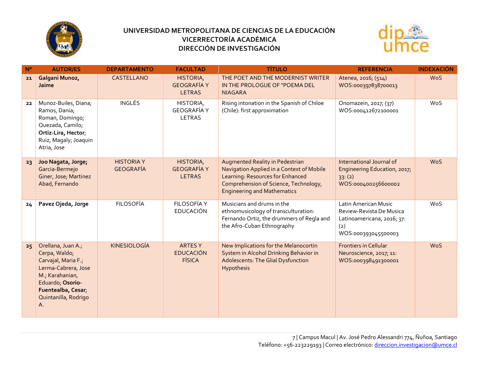



| $N^{\circ}$ | <b>AUTOR/ES</b>                                                                                                                                                              | <b>DEPARTAMENTO</b>                   | <b>FACULTAD</b>                                    | <b>TÍTULO</b>                                                                                                                                                                                   | <b>REFERENCIA</b>                                                                                            | <b>INDEXACIÓN</b> |
|-------------|------------------------------------------------------------------------------------------------------------------------------------------------------------------------------|---------------------------------------|----------------------------------------------------|-------------------------------------------------------------------------------------------------------------------------------------------------------------------------------------------------|--------------------------------------------------------------------------------------------------------------|-------------------|
| 21          | Galgani Munoz,<br>Jaime                                                                                                                                                      | CASTELLANO                            | HISTORIA,<br><b>GEOGRAFÍA Y</b><br><b>LETRAS</b>   | THE POET AND THE MODERNIST WRITER<br>IN THE PROLOGUE OF "POEMA DEL<br><b>NIAGARA</b>                                                                                                            | Atenea, 2016; (514)<br>WOS:000397838700013                                                                   | <b>WoS</b>        |
| 22          | Munoz-Builes, Diana;<br>Ramos, Dania;<br>Roman, Domingo;<br>Quezada, Camilo;<br>Ortiz-Lira, Hector;<br>Ruiz, Magaly; Joaquin<br>Atria, Jose                                  | <b>INGLÉS</b>                         | HISTORIA,<br>GEOGRAFÍA Y<br>LETRAS                 | Rising intonation in the Spanish of Chiloe<br>(Chile): first approximation                                                                                                                      | Onomazein, 2017; (37)<br>WOS:000412672100001                                                                 | WoS               |
| 23          | Joo Nagata, Jorge;<br>Garcia-Bermejo<br>Giner, Jose; Martinez<br>Abad, Fernando                                                                                              | <b>HISTORIA Y</b><br><b>GEOGRAFÍA</b> | HISTORIA,<br><b>GEOGRAFÍA Y</b><br><b>LETRAS</b>   | Augmented Reality in Pedestrian<br>Navigation Applied in a Context of Mobile<br>Learning: Resources for Enhanced<br>Comprehension of Science, Technology,<br><b>Engineering and Mathematics</b> | International Journal of<br>Engineering Education, 2017;<br>33:(2)<br>WOS:000400256600002                    | <b>WoS</b>        |
| 24          | Pavez Ojeda, Jorge                                                                                                                                                           | <b>FILOSOFÍA</b>                      | FILOSOFÍA Y<br><b>EDUCACIÓN</b>                    | Musicians and drums in the<br>ethnomusicology of transculturation:<br>Fernando Ortiz, the drummers of Regla and<br>the Afro-Cuban Ethnography                                                   | Latin American Music<br>Review-Revista De Musica<br>Latinoamericana, 2016; 37:<br>(2)<br>WOS:000393045500003 | WoS               |
| 25          | Orellana, Juan A.;<br>Cerpa, Waldo;<br>Carvajal, Maria F.;<br>Lerma-Cabrera, Jose<br>M.; Karahanian,<br>Eduardo; Osorio-<br>Fuentealba, Cesar;<br>Quintanilla, Rodrigo<br>Α. | <b>KINESIOLOGÍA</b>                   | <b>ARTESY</b><br><b>EDUCACIÓN</b><br><b>FÍSICA</b> | New Implications for the Melanocortin<br>System in Alcohol Drinking Behavior in<br><b>Adolescents: The Glial Dysfunction</b><br>Hypothesis                                                      | <b>Frontiers in Cellular</b><br>Neuroscience, 2017; 11:<br>WOS:000398491300001                               | <b>WoS</b>        |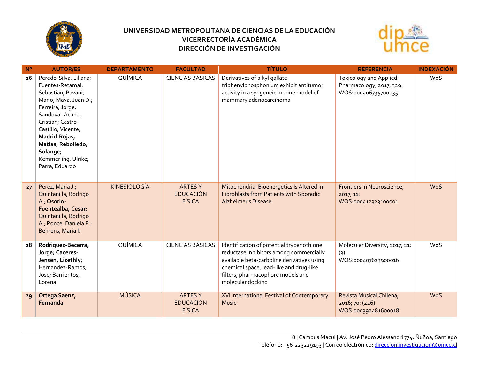



| $N^{\circ}$ | <b>AUTOR/ES</b>                                                                                                                                                                                                                                                         | <b>DEPARTAMENTO</b> | <b>FACULTAD</b>                                     | <b>TÍTULO</b>                                                                                                                                                                                                                           | <b>REFERENCIA</b>                                                                | <b>INDEXACIÓN</b> |
|-------------|-------------------------------------------------------------------------------------------------------------------------------------------------------------------------------------------------------------------------------------------------------------------------|---------------------|-----------------------------------------------------|-----------------------------------------------------------------------------------------------------------------------------------------------------------------------------------------------------------------------------------------|----------------------------------------------------------------------------------|-------------------|
| 26          | Peredo-Silva, Liliana;<br>Fuentes-Retamal,<br>Sebastian; Pavani,<br>Mario; Maya, Juan D.;<br>Ferreira, Jorge;<br>Sandoval-Acuna,<br>Cristian; Castro-<br>Castillo, Vicente;<br>Madrid-Rojas,<br>Matias; Rebolledo,<br>Solange;<br>Kemmerling, Ulrike;<br>Parra, Eduardo | QUÍMICA             | <b>CIENCIAS BÁSICAS</b>                             | Derivatives of alkyl gallate<br>triphenylphosphonium exhibit antitumor<br>activity in a syngeneic murine model of<br>mammary adenocarcinoma                                                                                             | <b>Toxicology and Applied</b><br>Pharmacology, 2017; 329:<br>WOS:000406735700035 | WoS               |
| 27          | Perez, Maria J.;<br>Quintanilla, Rodrigo<br>A.; Osorio-<br>Fuentealba, Cesar;<br>Quintanilla, Rodrigo<br>A.; Ponce, Daniela P.;<br>Behrens, Maria I.                                                                                                                    | <b>KINESIOLOGÍA</b> | <b>ARTES Y</b><br><b>EDUCACIÓN</b><br><b>FÍSICA</b> | Mitochondrial Bioenergetics Is Altered in<br>Fibroblasts from Patients with Sporadic<br><b>Alzheimer's Disease</b>                                                                                                                      | Frontiers in Neuroscience,<br>2017; 11:<br>WOS:000412323100001                   | <b>WoS</b>        |
| 28          | Rodriguez-Becerra,<br>Jorge; Caceres-<br>Jensen, Lizethly;<br>Hernandez-Ramos,<br>Jose; Barrientos,<br>Lorena                                                                                                                                                           | QUÍMICA             | <b>CIENCIAS BÁSICAS</b>                             | Identification of potential trypanothione<br>reductase inhibitors among commercially<br>available beta-carboline derivatives using<br>chemical space, lead-like and drug-like<br>filters, pharmacophore models and<br>molecular docking | Molecular Diversity, 2017; 21:<br>(3)<br>WOS:000407623900016                     | WoS               |
| 29          | Ortega Saenz,<br>Fernanda                                                                                                                                                                                                                                               | <b>MÚSICA</b>       | <b>ARTESY</b><br><b>EDUCACIÓN</b><br><b>FÍSICA</b>  | XVI International Festival of Contemporary<br><b>Music</b>                                                                                                                                                                              | Revista Musical Chilena,<br>2016; 70: (226)<br>WOS:000392481600018               | <b>WoS</b>        |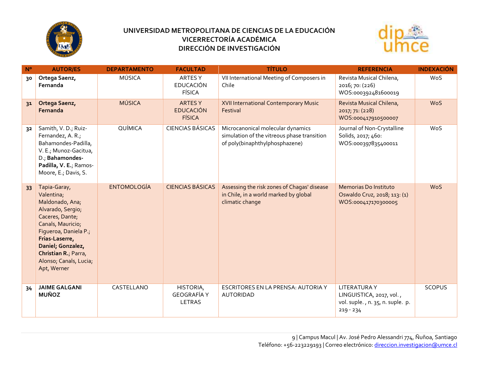



| $N^{\circ}$    | <b>AUTOR/ES</b>                                                                                                                                                                                                                             | <b>DEPARTAMENTO</b> | <b>FACULTAD</b>                                    | <b>TÍTULO</b>                                                                                                      | <b>REFERENCIA</b>                                                                                 | <b>INDEXACIÓN</b> |
|----------------|---------------------------------------------------------------------------------------------------------------------------------------------------------------------------------------------------------------------------------------------|---------------------|----------------------------------------------------|--------------------------------------------------------------------------------------------------------------------|---------------------------------------------------------------------------------------------------|-------------------|
| 30             | Ortega Saenz,<br>Fernanda                                                                                                                                                                                                                   | MÚSICA              | ARTES Y<br><b>EDUCACIÓN</b><br><b>FÍSICA</b>       | VII International Meeting of Composers in<br>Chile                                                                 | Revista Musical Chilena,<br>2016; 70: (226)<br>WOS:000392481600019                                | WoS               |
| 31             | Ortega Saenz,<br>Fernanda                                                                                                                                                                                                                   | <b>MÚSICA</b>       | <b>ARTESY</b><br><b>EDUCACIÓN</b><br><b>FÍSICA</b> | XVII International Contemporary Music<br>Festival                                                                  | Revista Musical Chilena,<br>2017; 71: (228)<br>WOS:000417910500007                                | <b>WoS</b>        |
| 3 <sup>2</sup> | Samith, V. D.; Ruiz-<br>Fernandez, A. R.;<br>Bahamondes-Padilla,<br>V. E.; Munoz-Gacitua,<br>D.; Bahamondes-<br>Padilla, V. E.; Ramos-<br>Moore, E.; Davis, S.                                                                              | QUÍMICA             | <b>CIENCIAS BÁSICAS</b>                            | Microcanonical molecular dynamics<br>simulation of the vitreous phase transition<br>of poly(binaphthylphosphazene) | Journal of Non-Crystalline<br>Solids, 2017; 460:<br>WOS:000397835400011                           | WoS               |
| 33             | Tapia-Garay,<br>Valentina;<br>Maldonado, Ana;<br>Alvarado, Sergio;<br>Caceres, Dante;<br>Canals, Mauricio;<br>Figueroa, Daniela P.;<br>Frias-Laserre,<br>Daniel; Gonzalez,<br>Christian R.; Parra,<br>Alonso; Canals, Lucia;<br>Apt, Werner | <b>ENTOMOLOGÍA</b>  | <b>CIENCIAS BÁSICAS</b>                            | Assessing the risk zones of Chagas' disease<br>in Chile, in a world marked by global<br>climatic change            | Memorias Do Instituto<br>Oswaldo Cruz, 2018; 113: (1)<br>WOS:000417170300005                      | <b>WoS</b>        |
| 34             | <b>JAIME GALGANI</b><br><b>MUÑOZ</b>                                                                                                                                                                                                        | CASTELLANO          | HISTORIA,<br><b>GEOGRAFÍA Y</b><br>LETRAS          | ESCRITORES EN LA PRENSA: AUTORIA Y<br><b>AUTORIDAD</b>                                                             | <b>LITERATURAY</b><br>LINGUISTICA, 2017, vol.,<br>vol. suple., n. 35, n. suple. p.<br>$219 - 234$ | <b>SCOPUS</b>     |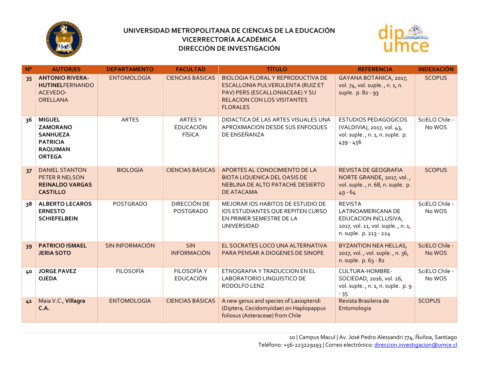



| $N^{\circ}$ | <b>AUTOR/ES</b>                                                                                            | <b>DEPARTAMENTO</b>    | <b>FACULTAD</b>                                     | <b>TÍTULO</b>                                                                                                                                                            | <b>REFERENCIA</b>                                                                                                           | <b>INDEXACIÓN</b>        |
|-------------|------------------------------------------------------------------------------------------------------------|------------------------|-----------------------------------------------------|--------------------------------------------------------------------------------------------------------------------------------------------------------------------------|-----------------------------------------------------------------------------------------------------------------------------|--------------------------|
| 35          | <b>ANTONIO RIVERA-</b><br><b>HUTINELFERNANDO</b><br>ACEVEDO-<br>ORELLANA                                   | <b>ENTOMOLOGÍA</b>     | <b>CIENCIAS BÁSICAS</b>                             | <b>BIOLOGIA FLORAL Y REPRODUCTIVA DE</b><br>ESCALLONIA PULVERULENTA (RUIZ ET<br>PAV) PERS (ESCALLONIACEAE) Y SU<br><b>RELACION CON LOS VISITANTES</b><br><b>FLORALES</b> | GAYANA BOTANICA, 2017,<br>vol. 74, vol. suple., n. 1, n.<br>suple. p. 82 - 93                                               | <b>SCOPUS</b>            |
| 36          | <b>MIGUEL</b><br><b>ZAMORANO</b><br><b>SANHUEZA</b><br><b>PATRICIA</b><br><b>RAQUIMAN</b><br><b>ORTEGA</b> | <b>ARTES</b>           | <b>ARTES Y</b><br><b>EDUCACIÓN</b><br><b>FÍSICA</b> | DIDACTICA DE LAS ARTES VISUALES UNA<br>APROXIMACION DESDE SUS ENFOQUES<br>DE ENSEÑANZA                                                                                   | ESTUDIOS PEDAGOGICOS<br>(VALDIVIA), 2017, vol. 43,<br>vol. suple., n. 1, n. suple. p.<br>439 - 456                          | SciELO Chile -<br>No WOS |
| 37          | <b>DANIEL STANTON</b><br>PETER R NELSON<br><b>REINALDO VARGAS</b><br><b>CASTILLO</b>                       | <b>BIOLOGÍA</b>        | <b>CIENCIAS BÁSICAS</b>                             | APORTES AL CONOCIMIENTO DE LA<br><b>BIOTA LIQUENICA DEL OASIS DE</b><br>NEBLINA DE ALTO PATACHE DESIERTO<br>DE ATACAMA                                                   | <b>REVISTA DE GEOGRAFIA</b><br>NORTE GRANDE, 2017, vol.,<br>vol. suple., n. 68, n. suple. p.<br>$49 - 64$                   | <b>SCOPUS</b>            |
| 38          | <b>ALBERTO LECAROS</b><br><b>ERNESTO</b><br><b>SCHIEFELBEIN</b>                                            | <b>POSTGRADO</b>       | DIRECCIÓN DE<br>POSTGRADO                           | MEJORAR IOS HABITOS DE ESTUDIO DE<br>IOS ESTUDIANTES QUE REPITEN CURSO<br>EN PRIMER SEMESTRE DE LA<br>UNIVERSIDAD                                                        | <b>REVISTA</b><br>LATINOAMERICANA DE<br>EDUCACION INCLUSIVA,<br>2017, vol. 11, vol. suple., n. 1,<br>n. suple. p. 213 - 224 | SciELO Chile -<br>No WOS |
| 39          | <b>PATRICIO ISMAEL</b><br><b>JERIA SOTO</b>                                                                | <b>SIN INFORMACIÓN</b> | <b>SIN</b><br><b>INFORMACIÓN</b>                    | EL SOCRATES LOCO UNA ALTERNATIVA<br>PARA PENSAR A DIOGENES DE SINOPE                                                                                                     | <b>BYZANTION NEA HELLAS,</b><br>2017, vol., vol. suple., n. 36,<br>n. suple. p. 63 - 82                                     | SciELO Chile -<br>No WOS |
| 40          | <b>JORGE PAVEZ</b><br><b>OJEDA</b>                                                                         | <b>FILOSOFÍA</b>       | <b>FILOSOFÍA Y</b><br><b>EDUCACIÓN</b>              | ETNOGRAFIA Y TRADUCCION EN EL<br>LABORATORIO LINGUISTICO DE<br>RODOLFO LENZ                                                                                              | <b>CULTURA-HOMBRE-</b><br>SOCIEDAD, 2016, vol. 26,<br>vol. suple., n. 1, n. suple. p. 9<br>$-35$                            | SciELO Chile -<br>No WOS |
| 41          | Maia V.C., Villagra<br>C.A.                                                                                | <b>ENTOMOLOGÍA</b>     | <b>CIENCIAS BÁSICAS</b>                             | A new genus and species of Lasiopteridi<br>(Diptera, Cecidomyiidae) on Haplopappus<br>foliosus (Asteraceae) from Chile                                                   | Revista Brasileira de<br>Entomologia                                                                                        | <b>SCOPUS</b>            |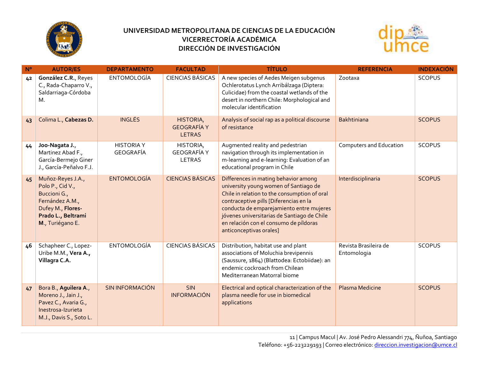



| $N^{\circ}$ | <b>AUTOR/ES</b>                                                                                                                         | <b>DEPARTAMENTO</b>            | <b>FACULTAD</b>                                  | <b>TÍTULO</b>                                                                                                                                                                                                                                                                                                                           | <b>REFERENCIA</b>                    | <b>INDEXACIÓN</b> |
|-------------|-----------------------------------------------------------------------------------------------------------------------------------------|--------------------------------|--------------------------------------------------|-----------------------------------------------------------------------------------------------------------------------------------------------------------------------------------------------------------------------------------------------------------------------------------------------------------------------------------------|--------------------------------------|-------------------|
| 42          | González C.R., Reyes<br>C., Rada-Chaparro V.,<br>Saldarriaga-Córdoba<br>М.                                                              | <b>ENTOMOLOGÍA</b>             | <b>CIENCIAS BÁSICAS</b>                          | A new species of Aedes Meigen subgenus<br>Ochlerotatus Lynch Arribálzaga (Diptera:<br>Culicidae) from the coastal wetlands of the<br>desert in northern Chile: Morphological and<br>molecular identification                                                                                                                            | Zootaxa                              | <b>SCOPUS</b>     |
| 43          | Colima L., Cabezas D.                                                                                                                   | <b>INGLÉS</b>                  | HISTORIA,<br><b>GEOGRAFÍA Y</b><br><b>LETRAS</b> | Analysis of social rap as a political discourse<br>of resistance                                                                                                                                                                                                                                                                        | Bakhtiniana                          | <b>SCOPUS</b>     |
| 44          | Joo-Nagata J.,<br>Martinez Abad F.,<br>García-Bermejo Giner<br>J., García-Peñalvo F.J.                                                  | <b>HISTORIA Y</b><br>GEOGRAFÍA | HISTORIA,<br><b>GEOGRAFÍA Y</b><br><b>LETRAS</b> | Augmented reality and pedestrian<br>navigation through its implementation in<br>m-learning and e-learning: Evaluation of an<br>educational program in Chile                                                                                                                                                                             | Computers and Education              | <b>SCOPUS</b>     |
| 45          | Muñoz-Reyes J.A.,<br>Polo P., Cid V.,<br>Buccioni G.,<br>Fernández A.M.,<br>Dufey M., Flores-<br>Prado L., Beltrami<br>M., Turiégano E. | <b>ENTOMOLOGÍA</b>             | <b>CIENCIAS BÁSICAS</b>                          | Differences in mating behavior among<br>university young women of Santiago de<br>Chile in relation to the consumption of oral<br>contraceptive pills [Diferencias en la<br>conducta de emparejamiento entre mujeres<br>jóvenes universitarias de Santiago de Chile<br>en relación con el consumo de píldoras<br>anticonceptivas orales] | Interdisciplinaria                   | <b>SCOPUS</b>     |
| 46          | Schapheer C., Lopez-<br>Uribe M.M., Vera A.,<br>Villagra C.A.                                                                           | <b>ENTOMOLOGÍA</b>             | <b>CIENCIAS BÁSICAS</b>                          | Distribution, habitat use and plant<br>associations of Moluchia brevipennis<br>(Saussure, 1864) (Blattodea: Ectobiidae): an<br>endemic cockroach from Chilean<br>Mediterranean Matorral biome                                                                                                                                           | Revista Brasileira de<br>Entomologia | <b>SCOPUS</b>     |
| 47          | Bora B., Aguilera A.,<br>Moreno J., Jain J.,<br>Pavez C., Avaria G.,<br>Inestrosa-Izurieta<br>M.J., Davis S., Soto L.                   | <b>SIN INFORMACIÓN</b>         | <b>SIN</b><br><b>INFORMACIÓN</b>                 | Electrical and optical characterization of the<br>plasma needle for use in biomedical<br>applications                                                                                                                                                                                                                                   | Plasma Medicine                      | <b>SCOPUS</b>     |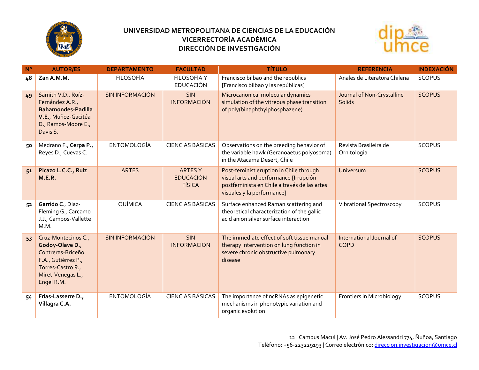



| $N^{\circ}$ | <b>AUTOR/ES</b>                                                                                                                            | <b>DEPARTAMENTO</b>    | <b>FACULTAD</b>                                     | <b>TÍTULO</b>                                                                                                                                                   | <b>REFERENCIA</b>                           | <b>INDEXACIÓN</b> |
|-------------|--------------------------------------------------------------------------------------------------------------------------------------------|------------------------|-----------------------------------------------------|-----------------------------------------------------------------------------------------------------------------------------------------------------------------|---------------------------------------------|-------------------|
| 48          | Zan A.M.M.                                                                                                                                 | <b>FILOSOFÍA</b>       | FILOSOFÍA Y<br><b>EDUCACIÓN</b>                     | Francisco bilbao and the republics<br>[Francisco bilbao y las repúblicas]                                                                                       | Anales de Literatura Chilena                | <b>SCOPUS</b>     |
| 49          | Samith V.D., Ruíz-<br>Fernández A.R.,<br><b>Bahamondes-Padilla</b><br>V.E., Muñoz-Gacitúa<br>D., Ramos-Moore E.,<br>Davis S.               | <b>SIN INFORMACIÓN</b> | <b>SIN</b><br><b>INFORMACIÓN</b>                    | Microcanonical molecular dynamics<br>simulation of the vitreous phase transition<br>of poly(binaphthylphosphazene)                                              | Journal of Non-Crystalline<br><b>Solids</b> | <b>SCOPUS</b>     |
| 50          | Medrano F., Cerpa P.,<br>Reyes D., Cuevas C.                                                                                               | ENTOMOLOGÍA            | <b>CIENCIAS BÁSICAS</b>                             | Observations on the breeding behavior of<br>the variable hawk (Geranoaetus polyosoma)<br>in the Atacama Desert, Chile                                           | Revista Brasileira de<br>Ornitologia        | <b>SCOPUS</b>     |
| 51          | Picazo L.C.C., Ruiz<br><b>M.E.R.</b>                                                                                                       | <b>ARTES</b>           | <b>ARTES Y</b><br><b>EDUCACIÓN</b><br><b>FÍSICA</b> | Post-feminist eruption in Chile through<br>visual arts and performance [Irrupción<br>postfeminista en Chile a través de las artes<br>visuales y la performance] | Universum                                   | <b>SCOPUS</b>     |
| 52          | Garrido C., Diaz-<br>Fleming G., Carcamo<br>J.J., Campos-Vallette<br>M.M.                                                                  | QUÍMICA                | <b>CIENCIAS BÁSICAS</b>                             | Surface enhanced Raman scattering and<br>theoretical characterization of the gallic<br>acid anion silver surface interaction                                    | Vibrational Spectroscopy                    | <b>SCOPUS</b>     |
| 53          | Cruz-Montecinos C.,<br>Godoy-Olave D.,<br>Contreras-Briceño<br>F.A., Gutiérrez P.,<br>Torres-Castro R.,<br>Miret-Venegas L.,<br>Engel R.M. | <b>SIN INFORMACIÓN</b> | <b>SIN</b><br><b>INFORMACIÓN</b>                    | The immediate effect of soft tissue manual<br>therapy intervention on lung function in<br>severe chronic obstructive pulmonary<br>disease                       | International Journal of<br><b>COPD</b>     | <b>SCOPUS</b>     |
| 54          | Frías-Lasserre D.,<br>Villagra C.A.                                                                                                        | <b>ENTOMOLOGÍA</b>     | <b>CIENCIAS BÁSICAS</b>                             | The importance of ncRNAs as epigenetic<br>mechanisms in phenotypic variation and<br>organic evolution                                                           | Frontiers in Microbiology                   | <b>SCOPUS</b>     |